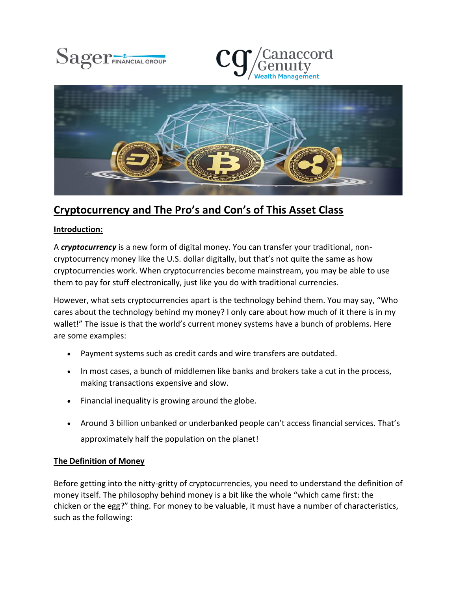





# **Cryptocurrency and The Pro's and Con's of This Asset Class**

# **Introduction:**

A *cryptocurrency* is a new form of digital money. You can transfer your traditional, noncryptocurrency money like the U.S. dollar digitally, but that's not quite the same as how cryptocurrencies work. When cryptocurrencies become mainstream, you may be able to use them to pay for stuff electronically, just like you do with traditional currencies.

However, what sets cryptocurrencies apart is the technology behind them. You may say, "Who cares about the technology behind my money? I only care about how much of it there is in my wallet!" The issue is that the world's current money systems have a bunch of problems. Here are some examples:

- Payment systems such as credit cards and wire transfers are outdated.
- In most cases, a bunch of middlemen like banks and brokers take a cut in the process, making transactions expensive and slow.
- Financial inequality is growing around the globe.
- Around 3 billion unbanked or underbanked people can't access financial services. That's approximately half the population on the planet!

## **The Definition of Money**

Before getting into the nitty-gritty of cryptocurrencies, you need to understand the definition of money itself. The philosophy behind money is a bit like the whole "which came first: the chicken or the egg?" thing. For money to be valuable, it must have a number of characteristics, such as the following: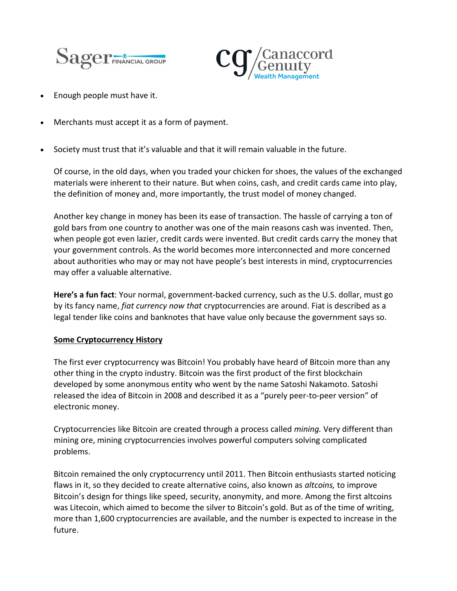



- Enough people must have it.
- Merchants must accept it as a form of payment.
- Society must trust that it's valuable and that it will remain valuable in the future.

Of course, in the old days, when you traded your chicken for shoes, the values of the exchanged materials were inherent to their nature. But when coins, cash, and credit cards came into play, the definition of money and, more importantly, the trust model of money changed.

Another key change in money has been its ease of transaction. The hassle of carrying a ton of gold bars from one country to another was one of the main reasons cash was invented. Then, when people got even lazier, credit cards were invented. But credit cards carry the money that your government controls. As the world becomes more interconnected and more concerned about authorities who may or may not have people's best interests in mind, cryptocurrencies may offer a valuable alternative.

**Here's a fun fact**: Your normal, government-backed currency, such as the U.S. dollar, must go by its fancy name, *fiat currency now that* cryptocurrencies are around. Fiat is described as a legal tender like coins and banknotes that have value only because the government says so.

#### **Some Cryptocurrency History**

The first ever cryptocurrency was Bitcoin! You probably have heard of Bitcoin more than any other thing in the crypto industry. Bitcoin was the first product of the first blockchain developed by some anonymous entity who went by the name Satoshi Nakamoto. Satoshi released the idea of Bitcoin in 2008 and described it as a "purely peer-to-peer version" of electronic money.

Cryptocurrencies like Bitcoin are created through a process called *mining.* Very different than mining ore, mining cryptocurrencies involves powerful computers solving complicated problems.

Bitcoin remained the only cryptocurrency until 2011. Then Bitcoin enthusiasts started noticing flaws in it, so they decided to create alternative coins, also known as *altcoins,* to improve Bitcoin's design for things like speed, security, anonymity, and more. Among the first altcoins was Litecoin, which aimed to become the silver to Bitcoin's gold. But as of the time of writing, more than 1,600 cryptocurrencies are available, and the number is expected to increase in the future.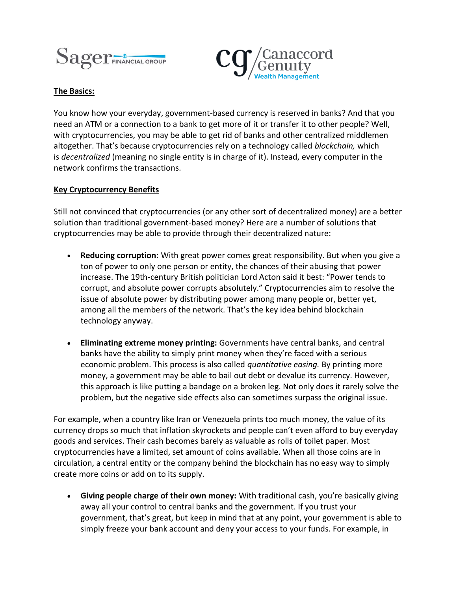



# **The Basics:**

You know how your everyday, government-based currency is reserved in banks? And that you need an ATM or a connection to a bank to get more of it or transfer it to other people? Well, with cryptocurrencies, you may be able to get rid of banks and other centralized middlemen altogether. That's because cryptocurrencies rely on a technology called *blockchain,* which is *decentralized* (meaning no single entity is in charge of it). Instead, every computer in the network confirms the transactions.

## **Key Cryptocurrency Benefits**

Still not convinced that cryptocurrencies (or any other sort of decentralized money) are a better solution than traditional government-based money? Here are a number of solutions that cryptocurrencies may be able to provide through their decentralized nature:

- **Reducing corruption:** With great power comes great responsibility. But when you give a ton of power to only one person or entity, the chances of their abusing that power increase. The 19th-century British politician Lord Acton said it best: "Power tends to corrupt, and absolute power corrupts absolutely." Cryptocurrencies aim to resolve the issue of absolute power by distributing power among many people or, better yet, among all the members of the network. That's the key idea behind blockchain technology anyway.
- **Eliminating extreme money printing:** Governments have central banks, and central banks have the ability to simply print money when they're faced with a serious economic problem. This process is also called *quantitative easing.* By printing more money, a government may be able to bail out debt or devalue its currency. However, this approach is like putting a bandage on a broken leg. Not only does it rarely solve the problem, but the negative side effects also can sometimes surpass the original issue.

For example, when a country like Iran or Venezuela prints too much money, the value of its currency drops so much that inflation skyrockets and people can't even afford to buy everyday goods and services. Their cash becomes barely as valuable as rolls of toilet paper. Most cryptocurrencies have a limited, set amount of coins available. When all those coins are in circulation, a central entity or the company behind the blockchain has no easy way to simply create more coins or add on to its supply.

• **Giving people charge of their own money:** With traditional cash, you're basically giving away all your control to central banks and the government. If you trust your government, that's great, but keep in mind that at any point, your government is able to simply freeze your bank account and deny your access to your funds. For example, in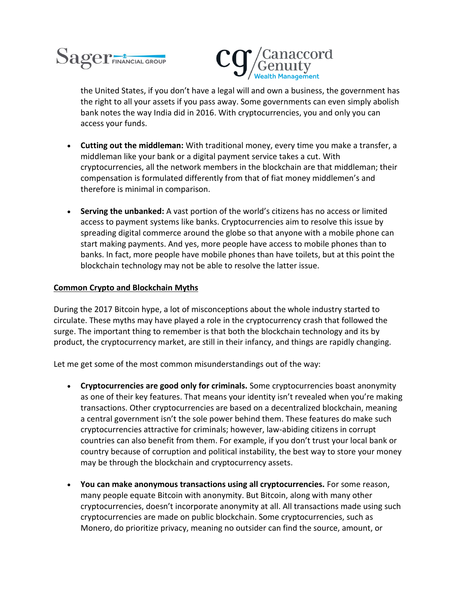



the United States, if you don't have a legal will and own a business, the government has the right to all your assets if you pass away. Some governments can even simply abolish bank notes the way India did in 2016. With cryptocurrencies, you and only you can access your funds.

- **Cutting out the middleman:** With traditional money, every time you make a transfer, a middleman like your bank or a digital payment service takes a cut. With cryptocurrencies, all the network members in the blockchain are that middleman; their compensation is formulated differently from that of fiat money middlemen's and therefore is minimal in comparison.
- **Serving the unbanked:** A vast portion of the world's citizens has no access or limited access to payment systems like banks. Cryptocurrencies aim to resolve this issue by spreading digital commerce around the globe so that anyone with a mobile phone can start making payments. And yes, more people have access to mobile phones than to banks. In fact, more people have mobile phones than have toilets, but at this point the blockchain technology may not be able to resolve the latter issue.

## **Common Crypto and Blockchain Myths**

During the 2017 Bitcoin hype, a lot of misconceptions about the whole industry started to circulate. These myths may have played a role in the cryptocurrency crash that followed the surge. The important thing to remember is that both the blockchain technology and its by product, the cryptocurrency market, are still in their infancy, and things are rapidly changing.

Let me get some of the most common misunderstandings out of the way:

- **Cryptocurrencies are good only for criminals.** Some cryptocurrencies boast anonymity as one of their key features. That means your identity isn't revealed when you're making transactions. Other cryptocurrencies are based on a decentralized blockchain, meaning a central government isn't the sole power behind them. These features do make such cryptocurrencies attractive for criminals; however, law-abiding citizens in corrupt countries can also benefit from them. For example, if you don't trust your local bank or country because of corruption and political instability, the best way to store your money may be through the blockchain and cryptocurrency assets.
- **You can make anonymous transactions using all cryptocurrencies.** For some reason, many people equate Bitcoin with anonymity. But Bitcoin, along with many other cryptocurrencies, doesn't incorporate anonymity at all. All transactions made using such cryptocurrencies are made on public blockchain. Some cryptocurrencies, such as Monero, do prioritize privacy, meaning no outsider can find the source, amount, or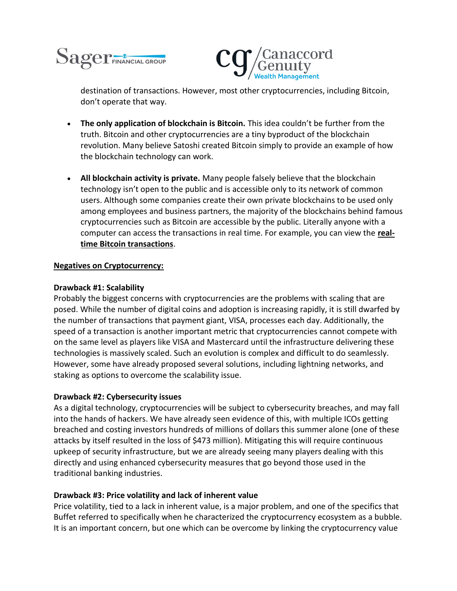



destination of transactions. However, most other cryptocurrencies, including Bitcoin, don't operate that way.

- **The only application of blockchain is Bitcoin.** This idea couldn't be further from the truth. Bitcoin and other cryptocurrencies are a tiny byproduct of the blockchain revolution. Many believe Satoshi created Bitcoin simply to provide an example of how the blockchain technology can work.
- **All blockchain activity is private.** Many people falsely believe that the blockchain technology isn't open to the public and is accessible only to its network of common users. Although some companies create their own private blockchains to be used only among employees and business partners, the majority of the blockchains behind famous cryptocurrencies such as Bitcoin are accessible by the public. Literally anyone with a computer can access the transactions in real time. For example, you can view the **[real](http://www.blockchain.com/)[time Bitcoin transactions](http://www.blockchain.com/)**.

#### **Negatives on Cryptocurrency:**

## **Drawback #1: Scalability**

Probably the biggest concerns with [cryptocurrencies](https://www.prescouter.com/2017/10/top-5-cryptocurrencies-blockchain/) are the problems with scaling that are posed. While the number of digital coins and adoption is increasing rapidly, it is still dwarfed by the number of transactions that payment giant, VISA, processes each day. Additionally, the speed of a transaction is another important metric that cryptocurrencies cannot compete with on the same level as players like VISA and Mastercard until the infrastructure delivering these technologies is massively scaled. Such an evolution is complex and difficult to do seamlessly. However, some have already proposed several solutions, [including lightning networks, and](https://medium.com/@EthereumRussian/advantages-and-disadvantages-of-cryptocurrencies-187f0aaf83b3)  [staking](https://medium.com/@EthereumRussian/advantages-and-disadvantages-of-cryptocurrencies-187f0aaf83b3) as options to overcome the scalability issue.

## **Drawback #2: Cybersecurity issues**

As a digital technology, cryptocurrencies will be subject to cybersecurity breaches, and may fall into the hands of hackers. We have already seen evidence of this, with multiple ICOs getting breached and costing investors [hundreds of millions of dollars this summer alone](https://storeofvalue.github.io/posts/cryptocurrency-hacks-so-far-august-24th/) (one of these attacks by itself resulted in the loss of \$473 million). Mitigating this will require continuous upkeep of security infrastructure, but we are already seeing many players dealing with this directly and using enhanced cybersecurity measures that go beyond those used in the traditional banking industries.

## **Drawback #3: Price volatility and lack of inherent value**

Price volatility, tied to a lack in inherent value, is a major problem, and one of the specifics that Buffet referred to specifically when he characterized the cryptocurrency ecosystem as a bubble. It is an important concern, but one which can be overcome by linking the cryptocurrency value